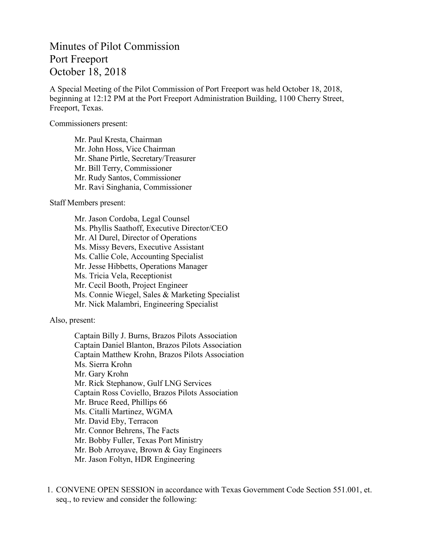## Minutes of Pilot Commission Port Freeport October 18, 2018

A Special Meeting of the Pilot Commission of Port Freeport was held October 18, 2018, beginning at 12:12 PM at the Port Freeport Administration Building, 1100 Cherry Street, Freeport, Texas.

Commissioners present:

Mr. Paul Kresta, Chairman Mr. John Hoss, Vice Chairman Mr. Shane Pirtle, Secretary/Treasurer Mr. Bill Terry, Commissioner Mr. Rudy Santos, Commissioner Mr. Ravi Singhania, Commissioner

Staff Members present:

Mr. Jason Cordoba, Legal Counsel Ms. Phyllis Saathoff, Executive Director/CEO Mr. Al Durel, Director of Operations Ms. Missy Bevers, Executive Assistant Ms. Callie Cole, Accounting Specialist Mr. Jesse Hibbetts, Operations Manager Ms. Tricia Vela, Receptionist Mr. Cecil Booth, Project Engineer Ms. Connie Wiegel, Sales & Marketing Specialist Mr. Nick Malambri, Engineering Specialist

Also, present:

Captain Billy J. Burns, Brazos Pilots Association Captain Daniel Blanton, Brazos Pilots Association Captain Matthew Krohn, Brazos Pilots Association Ms. Sierra Krohn Mr. Gary Krohn Mr. Rick Stephanow, Gulf LNG Services Captain Ross Coviello, Brazos Pilots Association Mr. Bruce Reed, Phillips 66 Ms. Citalli Martinez, WGMA Mr. David Eby, Terracon Mr. Connor Behrens, The Facts Mr. Bobby Fuller, Texas Port Ministry Mr. Bob Arroyave, Brown & Gay Engineers Mr. Jason Foltyn, HDR Engineering

1. CONVENE OPEN SESSION in accordance with Texas Government Code Section 551.001, et. seq., to review and consider the following: